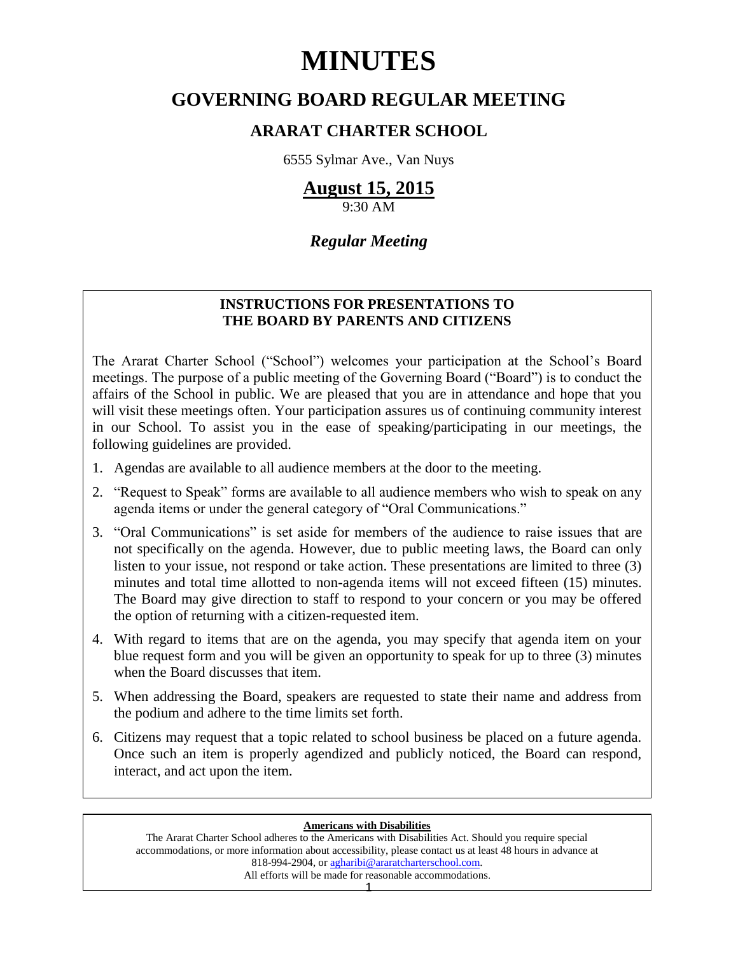# **MINUTES**

# **GOVERNING BOARD REGULAR MEETING**

# **ARARAT CHARTER SCHOOL**

6555 Sylmar Ave., Van Nuys

# **August 15, 2015**

9:30 AM

# *Regular Meeting*

# **INSTRUCTIONS FOR PRESENTATIONS TO THE BOARD BY PARENTS AND CITIZENS**

The Ararat Charter School ("School") welcomes your participation at the School's Board meetings. The purpose of a public meeting of the Governing Board ("Board") is to conduct the affairs of the School in public. We are pleased that you are in attendance and hope that you will visit these meetings often. Your participation assures us of continuing community interest in our School. To assist you in the ease of speaking/participating in our meetings, the following guidelines are provided.

- 1. Agendas are available to all audience members at the door to the meeting.
- 2. "Request to Speak" forms are available to all audience members who wish to speak on any agenda items or under the general category of "Oral Communications."
- 3. "Oral Communications" is set aside for members of the audience to raise issues that are not specifically on the agenda. However, due to public meeting laws, the Board can only listen to your issue, not respond or take action. These presentations are limited to three (3) minutes and total time allotted to non-agenda items will not exceed fifteen (15) minutes. The Board may give direction to staff to respond to your concern or you may be offered the option of returning with a citizen-requested item.
- 4. With regard to items that are on the agenda, you may specify that agenda item on your blue request form and you will be given an opportunity to speak for up to three (3) minutes when the Board discusses that item.
- 5. When addressing the Board, speakers are requested to state their name and address from the podium and adhere to the time limits set forth.
- 6. Citizens may request that a topic related to school business be placed on a future agenda. Once such an item is properly agendized and publicly noticed, the Board can respond, interact, and act upon the item.

## **Americans with Disabilities**

The Ararat Charter School adheres to the Americans with Disabilities Act. Should you require special accommodations, or more information about accessibility, please contact us at least 48 hours in advance at 818-994-2904, or [agharibi@araratcharterschool.com.](mailto:agharibi@araratcharterschool.com)  All efforts will be made for reasonable accommodations.

1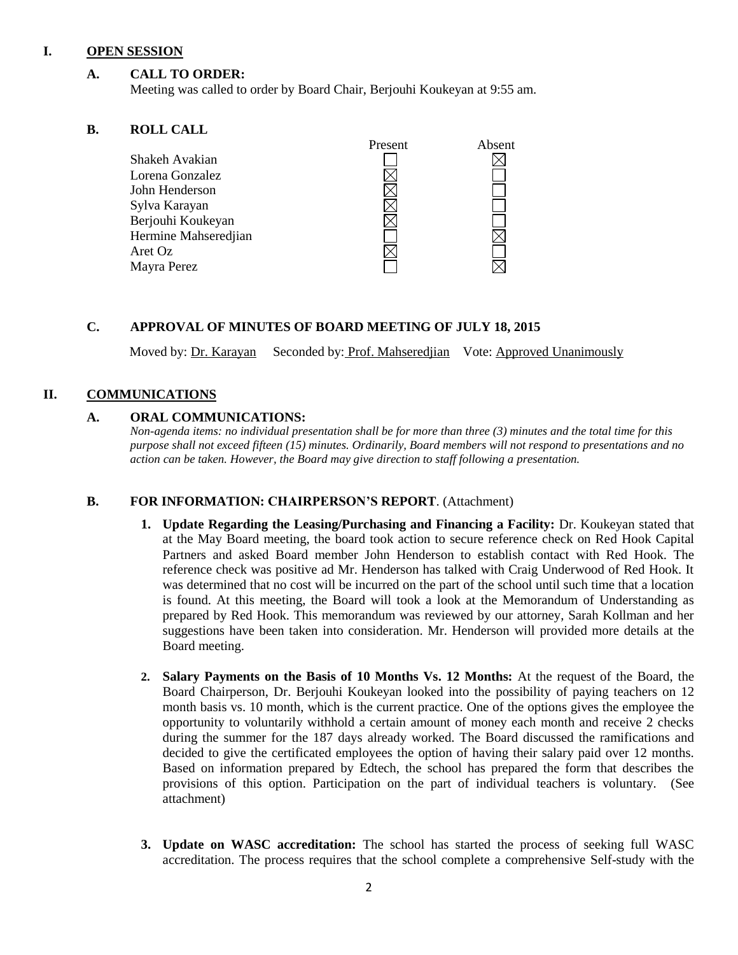#### **I. OPEN SESSION**

# **A. CALL TO ORDER:**

Meeting was called to order by Board Chair, Berjouhi Koukeyan at 9:55 am.

# **B. ROLL CALL**

|                      | Present | Absent |
|----------------------|---------|--------|
| Shakeh Avakian       |         |        |
| Lorena Gonzalez      |         |        |
| John Henderson       |         |        |
| Sylva Karayan        |         |        |
| Berjouhi Koukeyan    |         |        |
| Hermine Mahseredjian |         |        |
| Aret Oz              |         |        |
| Mayra Perez          |         |        |
|                      |         |        |

#### **C. APPROVAL OF MINUTES OF BOARD MEETING OF JULY 18, 2015**

Moved by: Dr. Karayan Seconded by: Prof. Mahseredjian Vote: Approved Unanimously

# **II. COMMUNICATIONS**

## **A. ORAL COMMUNICATIONS:**

*Non-agenda items: no individual presentation shall be for more than three (3) minutes and the total time for this purpose shall not exceed fifteen (15) minutes. Ordinarily, Board members will not respond to presentations and no action can be taken. However, the Board may give direction to staff following a presentation.*

## **B. FOR INFORMATION: CHAIRPERSON'S REPORT**. (Attachment)

- **1. Update Regarding the Leasing/Purchasing and Financing a Facility:** Dr. Koukeyan stated that at the May Board meeting, the board took action to secure reference check on Red Hook Capital Partners and asked Board member John Henderson to establish contact with Red Hook. The reference check was positive ad Mr. Henderson has talked with Craig Underwood of Red Hook. It was determined that no cost will be incurred on the part of the school until such time that a location is found. At this meeting, the Board will took a look at the Memorandum of Understanding as prepared by Red Hook. This memorandum was reviewed by our attorney, Sarah Kollman and her suggestions have been taken into consideration. Mr. Henderson will provided more details at the Board meeting.
- **2. Salary Payments on the Basis of 10 Months Vs. 12 Months:** At the request of the Board, the Board Chairperson, Dr. Berjouhi Koukeyan looked into the possibility of paying teachers on 12 month basis vs. 10 month, which is the current practice. One of the options gives the employee the opportunity to voluntarily withhold a certain amount of money each month and receive 2 checks during the summer for the 187 days already worked. The Board discussed the ramifications and decided to give the certificated employees the option of having their salary paid over 12 months. Based on information prepared by Edtech, the school has prepared the form that describes the provisions of this option. Participation on the part of individual teachers is voluntary. (See attachment)
- **3. Update on WASC accreditation:** The school has started the process of seeking full WASC accreditation. The process requires that the school complete a comprehensive Self-study with the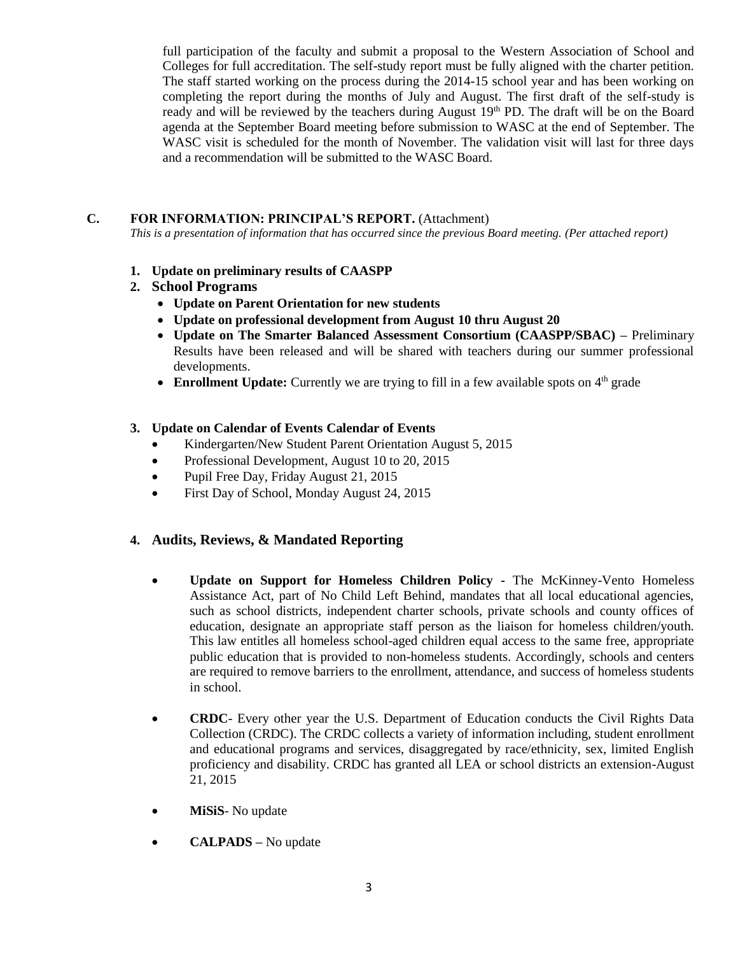full participation of the faculty and submit a proposal to the Western Association of School and Colleges for full accreditation. The self-study report must be fully aligned with the charter petition. The staff started working on the process during the 2014-15 school year and has been working on completing the report during the months of July and August. The first draft of the self-study is ready and will be reviewed by the teachers during August 19th PD. The draft will be on the Board agenda at the September Board meeting before submission to WASC at the end of September. The WASC visit is scheduled for the month of November. The validation visit will last for three days and a recommendation will be submitted to the WASC Board.

# **C. FOR INFORMATION: PRINCIPAL'S REPORT.** (Attachment)

*This is a presentation of information that has occurred since the previous Board meeting. (Per attached report)*

- **1. Update on preliminary results of CAASPP**
- **2. School Programs**
	- **Update on Parent Orientation for new students**
	- **Update on professional development from August 10 thru August 20**
	- **Update on The Smarter Balanced Assessment Consortium (CAASPP/SBAC) –** Preliminary Results have been released and will be shared with teachers during our summer professional developments.
	- **Enrollment Update:** Currently we are trying to fill in a few available spots on  $4<sup>th</sup>$  grade

# **3. Update on Calendar of Events Calendar of Events**

- Kindergarten/New Student Parent Orientation August 5, 2015
- Professional Development, August 10 to 20, 2015
- Pupil Free Day, Friday August 21, 2015
- First Day of School, Monday August 24, 2015

# **4. Audits, Reviews, & Mandated Reporting**

- **Update on Support for Homeless Children Policy -** The McKinney-Vento Homeless Assistance Act, part of No Child Left Behind, mandates that all local educational agencies, such as school districts, independent charter schools, private schools and county offices of education, designate an appropriate staff person as the liaison for homeless children/youth. This law entitles all homeless school-aged children equal access to the same free, appropriate public education that is provided to non-homeless students. Accordingly, schools and centers are required to remove barriers to the enrollment, attendance, and success of homeless students in school.
- **CRDC** Every other year the U.S. Department of Education conducts the Civil Rights Data Collection (CRDC). The CRDC collects a variety of information including, student enrollment and educational programs and services, disaggregated by race/ethnicity, sex, limited English proficiency and disability. CRDC has granted all LEA or school districts an extension-August 21, 2015
- **MiSiS** No update
- **CALPADS –** No update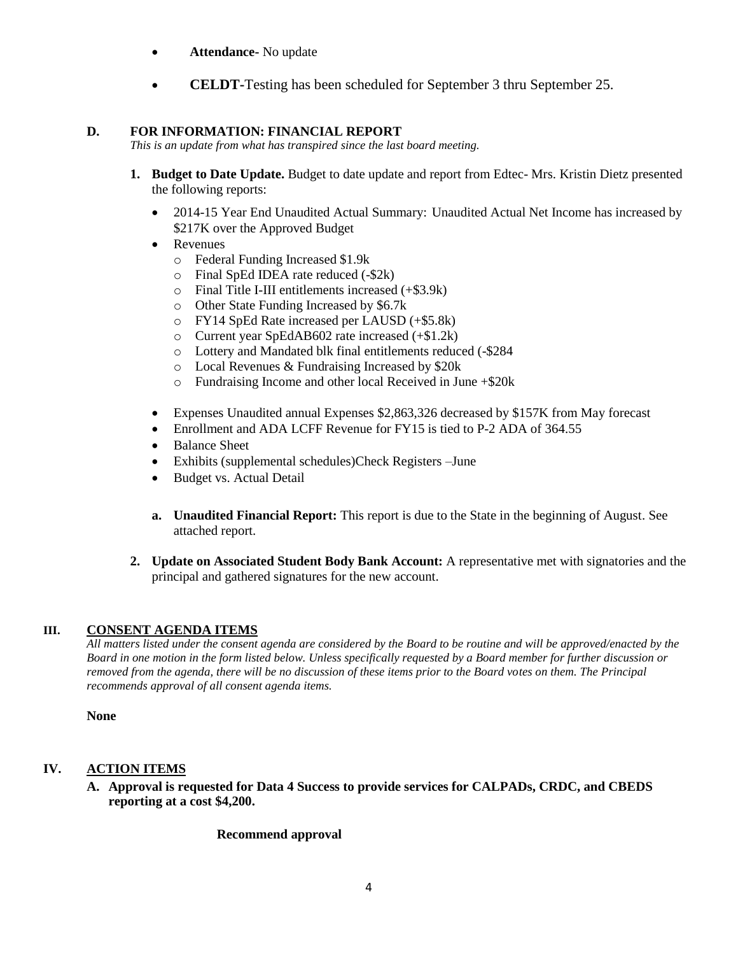- **Attendance-** No update
- **CELDT-Testing has been scheduled for September 3 thru September 25.**

# **D. FOR INFORMATION: FINANCIAL REPORT**

*This is an update from what has transpired since the last board meeting.*

- **1. Budget to Date Update.** Budget to date update and report from Edtec- Mrs. Kristin Dietz presented the following reports:
	- 2014-15 Year End Unaudited Actual Summary: Unaudited Actual Net Income has increased by \$217K over the Approved Budget
	- Revenues
		- o Federal Funding Increased \$1.9k
		- o Final SpEd IDEA rate reduced (-\$2k)
		- o Final Title I-III entitlements increased (+\$3.9k)
		- o Other State Funding Increased by \$6.7k
		- o FY14 SpEd Rate increased per LAUSD (+\$5.8k)
		- o Current year SpEdAB602 rate increased (+\$1.2k)
		- o Lottery and Mandated blk final entitlements reduced (-\$284
		- o Local Revenues & Fundraising Increased by \$20k
		- o Fundraising Income and other local Received in June +\$20k
	- Expenses Unaudited annual Expenses \$2,863,326 decreased by \$157K from May forecast
	- Enrollment and ADA LCFF Revenue for FY15 is tied to P-2 ADA of 364.55
	- Balance Sheet
	- Exhibits (supplemental schedules)Check Registers –June
	- Budget vs. Actual Detail
	- **a. Unaudited Financial Report:** This report is due to the State in the beginning of August. See attached report.
- **2. Update on Associated Student Body Bank Account:** A representative met with signatories and the principal and gathered signatures for the new account.

# **III. CONSENT AGENDA ITEMS**

*All matters listed under the consent agenda are considered by the Board to be routine and will be approved/enacted by the Board in one motion in the form listed below. Unless specifically requested by a Board member for further discussion or removed from the agenda, there will be no discussion of these items prior to the Board votes on them. The Principal recommends approval of all consent agenda items.*

**None**

# **IV. ACTION ITEMS**

**A. Approval is requested for Data 4 Success to provide services for CALPADs, CRDC, and CBEDS reporting at a cost \$4,200.**

## **Recommend approval**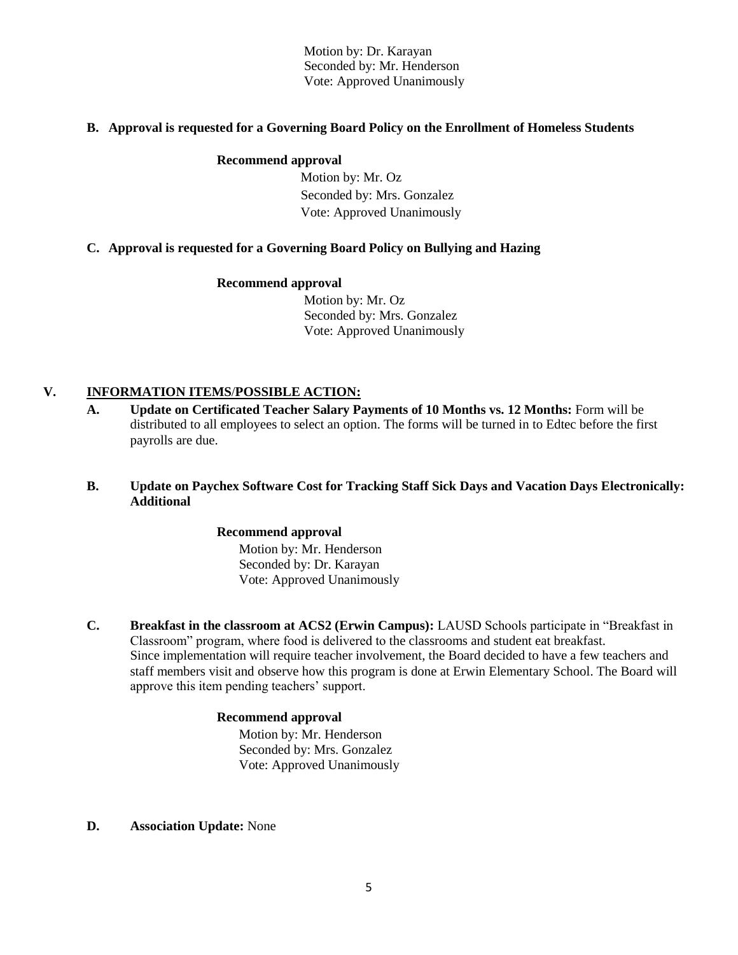Motion by: Dr. Karayan Seconded by: Mr. Henderson Vote: Approved Unanimously

## **B. Approval is requested for a Governing Board Policy on the Enrollment of Homeless Students**

#### **Recommend approval**

 Motion by: Mr. Oz Seconded by: Mrs. Gonzalez Vote: Approved Unanimously

# **C. Approval is requested for a Governing Board Policy on Bullying and Hazing**

#### **Recommend approval**

 Motion by: Mr. Oz Seconded by: Mrs. Gonzalez Vote: Approved Unanimously

# **V. INFORMATION ITEMS**/**POSSIBLE ACTION:**

**A. Update on Certificated Teacher Salary Payments of 10 Months vs. 12 Months:** Form will be distributed to all employees to select an option. The forms will be turned in to Edtec before the first payrolls are due.

## **B. Update on Paychex Software Cost for Tracking Staff Sick Days and Vacation Days Electronically: Additional**

## **Recommend approval**

 Motion by: Mr. Henderson Seconded by: Dr. Karayan Vote: Approved Unanimously

**C. Breakfast in the classroom at ACS2 (Erwin Campus):** LAUSD Schools participate in "Breakfast in Classroom" program, where food is delivered to the classrooms and student eat breakfast. Since implementation will require teacher involvement, the Board decided to have a few teachers and staff members visit and observe how this program is done at Erwin Elementary School. The Board will approve this item pending teachers' support.

## **Recommend approval**

 Motion by: Mr. Henderson Seconded by: Mrs. Gonzalez Vote: Approved Unanimously

**D. Association Update:** None